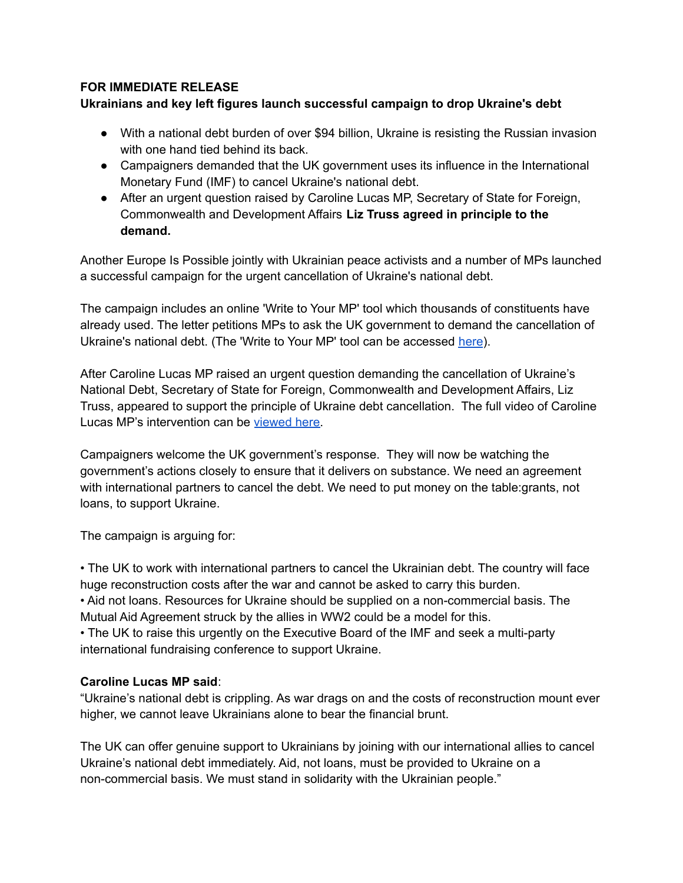# **FOR IMMEDIATE RELEASE**

# **Ukrainians and key left figures launch successful campaign to drop Ukraine's debt**

- With a national debt burden of over \$94 billion, Ukraine is resisting the Russian invasion with one hand tied behind its back.
- Campaigners demanded that the UK government uses its influence in the International Monetary Fund (IMF) to cancel Ukraine's national debt.
- **●** After an urgent question raised by Caroline Lucas MP, Secretary of State for Foreign, Commonwealth and Development Affairs **Liz Truss agreed in principle to the demand.**

Another Europe Is Possible jointly with Ukrainian peace activists and a number of MPs launched a successful campaign for the urgent cancellation of Ukraine's national debt.

The campaign includes an online 'Write to Your MP' tool which thousands of constituents have already used. The letter petitions MPs to ask the UK government to demand the cancellation of Ukraine's national debt. (The 'Write to Your MP' tool can be accessed [here](https://www.anothereurope.org/mp-write/ukraine-debt/)).

After Caroline Lucas MP raised an urgent question demanding the cancellation of Ukraine's National Debt, Secretary of State for Foreign, Commonwealth and Development Affairs, Liz Truss, appeared to support the principle of Ukraine debt cancellation. The full video of Caroline Lucas MP's intervention can be [viewed](https://www.brexitspotlight.org/video-uk-government-indicates-support-for-principle-of-ukrainian-debt-cancellation/) here.

Campaigners welcome the UK government's response. They will now be watching the government's actions closely to ensure that it delivers on substance. We need an agreement with international partners to cancel the debt. We need to put money on the table:grants, not loans, to support Ukraine.

The campaign is arguing for:

• The UK to work with international partners to cancel the Ukrainian debt. The country will face huge reconstruction costs after the war and cannot be asked to carry this burden.

• Aid not loans. Resources for Ukraine should be supplied on a non-commercial basis. The Mutual Aid Agreement struck by the allies in WW2 could be a model for this.

• The UK to raise this urgently on the Executive Board of the IMF and seek a multi-party international fundraising conference to support Ukraine.

## **Caroline Lucas MP said**:

"Ukraine's national debt is crippling. As war drags on and the costs of reconstruction mount ever higher, we cannot leave Ukrainians alone to bear the financial brunt.

The UK can offer genuine support to Ukrainians by joining with our international allies to cancel Ukraine's national debt immediately. Aid, not loans, must be provided to Ukraine on a non-commercial basis. We must stand in solidarity with the Ukrainian people."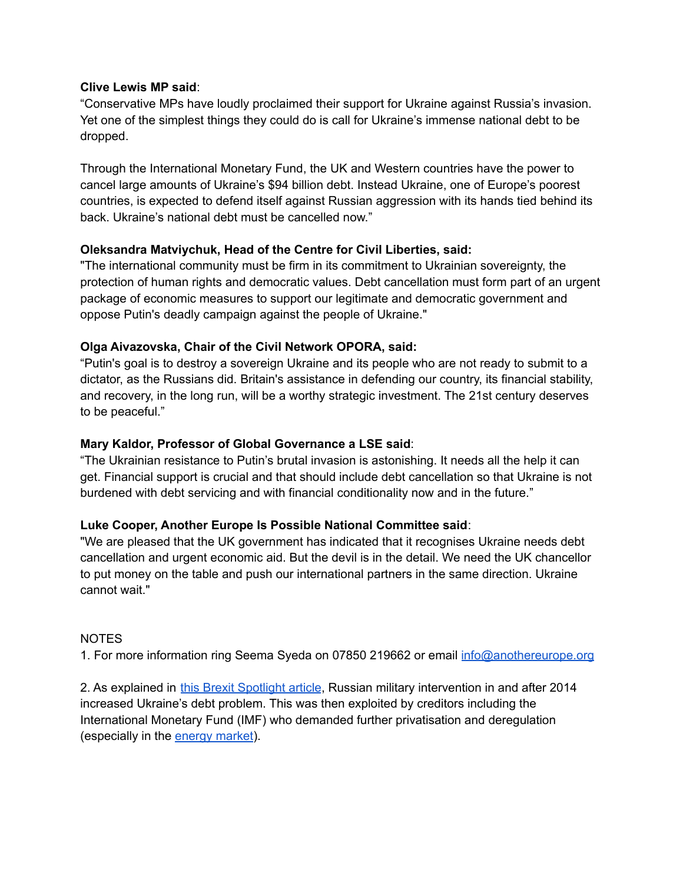## **Clive Lewis MP said**:

"Conservative MPs have loudly proclaimed their support for Ukraine against Russia's invasion. Yet one of the simplest things they could do is call for Ukraine's immense national debt to be dropped.

Through the International Monetary Fund, the UK and Western countries have the power to cancel large amounts of Ukraine's \$94 billion debt. Instead Ukraine, one of Europe's poorest countries, is expected to defend itself against Russian aggression with its hands tied behind its back. Ukraine's national debt must be cancelled now."

#### **Oleksandra Matviychuk, Head of the Centre for Civil Liberties, said:**

"The international community must be firm in its commitment to Ukrainian sovereignty, the protection of human rights and democratic values. Debt cancellation must form part of an urgent package of economic measures to support our legitimate and democratic government and oppose Putin's deadly campaign against the people of Ukraine."

#### **Olga Aivazovska, Chair of the Civil Network OPORA, said:**

"Putin's goal is to destroy a sovereign Ukraine and its people who are not ready to submit to a dictator, as the Russians did. Britain's assistance in defending our country, its financial stability, and recovery, in the long run, will be a worthy strategic investment. The 21st century deserves to be peaceful."

## **Mary Kaldor, Professor of Global Governance a LSE said**:

"The Ukrainian resistance to Putin's brutal invasion is astonishing. It needs all the help it can get. Financial support is crucial and that should include debt cancellation so that Ukraine is not burdened with debt servicing and with financial conditionality now and in the future."

## **Luke Cooper, Another Europe Is Possible National Committee said**:

"We are pleased that the UK government has indicated that it recognises Ukraine needs debt cancellation and urgent economic aid. But the devil is in the detail. We need the UK chancellor to put money on the table and push our international partners in the same direction. Ukraine cannot wait."

#### NOTES

1. For more information ring Seema Syeda on 07850 219662 or email [info@anothereurope.org](mailto:info@anothereurope.org)

2. As explained in this Brexit Spotlight article, Russian military intervention in and after 2014 increased Ukraine's debt problem. This was then exploited by creditors including the International Monetary Fund (IMF) who demanded further privatisation and deregulation (especially in the [energy](https://www.atlanticcouncil.org/blogs/ukrainealert/gas-price-caps-would-be-a-disaster-for-the-ukrainian-economy/) market).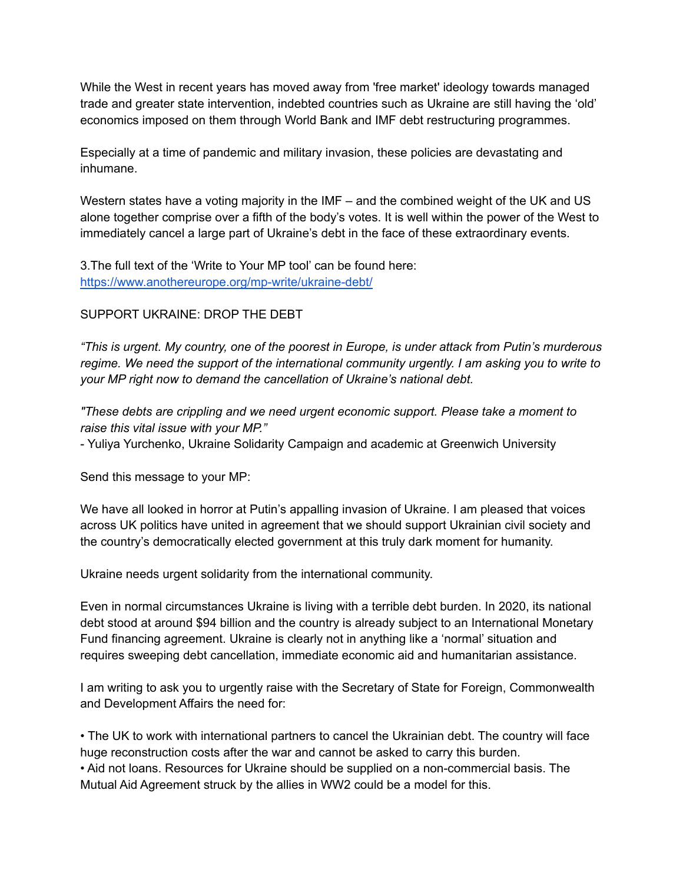While the West in recent years has moved away from 'free market' ideology towards managed trade and greater state intervention, indebted countries such as Ukraine are still having the 'old' economics imposed on them through World Bank and IMF debt restructuring programmes.

Especially at a time of pandemic and military invasion, these policies are devastating and inhumane.

Western states have a voting majority in the IMF – and the combined weight of the UK and US alone together comprise over a fifth of the body's votes. It is well within the power of the West to immediately cancel a large part of Ukraine's debt in the face of these extraordinary events.

3.The full text of the 'Write to Your MP tool' can be found here: <https://www.anothereurope.org/mp-write/ukraine-debt/>

# SUPPORT UKRAINE: DROP THE DEBT

*"This is urgent. My country, one of the poorest in Europe, is under attack from Putin's murderous regime. We need the support of the international community urgently. I am asking you to write to your MP right now to demand the cancellation of Ukraine's national debt.*

*"These debts are crippling and we need urgent economic support. Please take a moment to raise this vital issue with your MP."*

- Yuliya Yurchenko, Ukraine Solidarity Campaign and academic at Greenwich University

Send this message to your MP:

We have all looked in horror at Putin's appalling invasion of Ukraine. I am pleased that voices across UK politics have united in agreement that we should support Ukrainian civil society and the country's democratically elected government at this truly dark moment for humanity.

Ukraine needs urgent solidarity from the international community.

Even in normal circumstances Ukraine is living with a terrible debt burden. In 2020, its national debt stood at around \$94 billion and the country is already subject to an International Monetary Fund financing agreement. Ukraine is clearly not in anything like a 'normal' situation and requires sweeping debt cancellation, immediate economic aid and humanitarian assistance.

I am writing to ask you to urgently raise with the Secretary of State for Foreign, Commonwealth and Development Affairs the need for:

• The UK to work with international partners to cancel the Ukrainian debt. The country will face huge reconstruction costs after the war and cannot be asked to carry this burden. • Aid not loans. Resources for Ukraine should be supplied on a non-commercial basis. The Mutual Aid Agreement struck by the allies in WW2 could be a model for this.